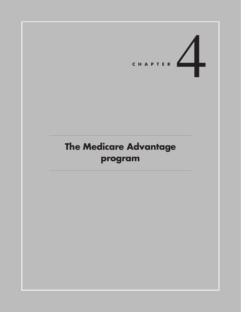# CHAPTER

## **The Medicare Advantage program**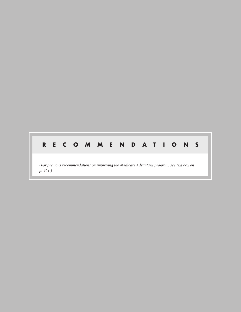# **R E C O M M E N D A T I O N S**

*(For previous recommendations on improving the Medicare Advantage program, see text box on p. 261.)*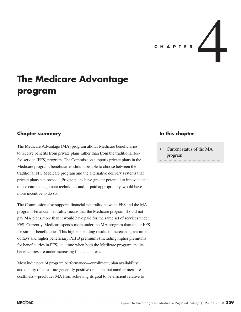

### **The Medicare Advantage program**

#### **Chapter summary**

The Medicare Advantage (MA) program allows Medicare beneficiaries to receive benefits from private plans rather than from the traditional feefor-service (FFS) program. The Commission supports private plans in the Medicare program; beneficiaries should be able to choose between the traditional FFS Medicare program and the alternative delivery systems that private plans can provide. Private plans have greater potential to innovate and to use care management techniques and, if paid appropriately, would have more incentive to do so.

The Commission also supports financial neutrality between FFS and the MA program. Financial neutrality means that the Medicare program should not pay MA plans more than it would have paid for the same set of services under FFS. Currently, Medicare spends more under the MA program than under FFS for similar beneficiaries. This higher spending results in increased government outlays and higher beneficiary Part B premiums (including higher premiums for beneficiaries in FFS) at a time when both the Medicare program and its beneficiaries are under increasing financial stress.

Most indicators of program performance—enrollment, plan availability, and quality of care—are generally positive or stable, but another measure costliness—precludes MA from achieving its goal to be efficient relative to

#### **In this chapter**

• Current status of the MA program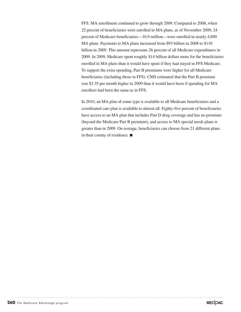FFS. MA enrollment continued to grow through 2009. Compared to 2008, when 22 percent of beneficiaries were enrolled in MA plans, as of November 2009, 24 percent of Medicare beneficiaries—10.9 million—were enrolled in nearly 4,890 MA plans. Payments to MA plans increased from \$93 billion in 2008 to \$110 billion in 2009. This amount represents 26 percent of all Medicare expenditures in 2009. In 2009, Medicare spent roughly \$14 billion dollars more for the beneficiaries enrolled in MA plans than it would have spent if they had stayed in FFS Medicare. To support the extra spending, Part B premiums were higher for all Medicare beneficiaries (including those in FFS). CMS estimated that the Part B premium was \$3.35 per month higher in 2009 than it would have been if spending for MA enrollees had been the same as in FFS.

In 2010, an MA plan of some type is available to all Medicare beneficiaries and a coordinated care plan is available to almost all. Eighty-five percent of beneficiaries have access to an MA plan that includes Part D drug coverage and has no premium (beyond the Medicare Part B premium), and access to MA special needs plans is greater than in 2009. On average, beneficiaries can choose from 21 different plans in their county of residence. ■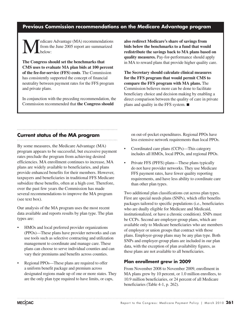#### **Previous Commission recommendations on the Medicare Advantage program**

Medicare Advantage (MA) recommendations<br>from the June 2005 report are summarized<br>below: from the June 2005 report are summarized below:

**The Congress should set the benchmarks that CMS uses to evaluate MA plan bids at 100 percent of the fee-for-service (FFS) costs**. The Commission has consistently supported the concept of financial neutrality between payment rates for the FFS program and private plans.

In conjunction with the preceding recommendation, the Commission recommended that **the Congress should** 

**also redirect Medicare's share of savings from bids below the benchmarks to a fund that would redistribute the savings back to MA plans based on quality measures.** Pay-for-performance should apply in MA to reward plans that provide higher quality care.

**The Secretary should calculate clinical measures for the FFS program that would permit CMS to compare the FFS program with MA plans.** The Commission believes more can be done to facilitate beneficiary choice and decision making by enabling a direct comparison between the quality of care in private plans and quality in the FFS system. ■

#### **Current status of the MA program**

By some measures, the Medicare Advantage (MA) program appears to be successful, but excessive payment rates preclude the program from achieving desired efficiencies. MA enrollment continues to increase, MA plans are widely available to beneficiaries, and plans provide enhanced benefits for their members. However, taxpayers and beneficiaries in traditional FFS Medicare subsidize these benefits, often at a high cost. Therefore, over the past few years the Commission has made several recommendations to improve the MA program (see text box).

Our analysis of the MA program uses the most recent data available and reports results by plan type. The plan types are:

- HMOs and local preferred provider organizations (PPOs)—These plans have provider networks and can use tools such as selective contracting and utilization management to coordinate and manage care. These plans can choose to serve individual counties and can vary their premiums and benefits across counties.
- Regional PPOs—These plans are required to offer a uniform benefit package and premium across designated regions made up of one or more states. They are the only plan type required to have limits, or caps,

on out-of-pocket expenditures. Regional PPOs have less extensive network requirements than local PPOs.

- Coordinated care plans (CCPs)—This category includes all HMOs, local PPOs, and regional PPOs.
- Private FFS (PFFS) plans—These plans typically do not have provider networks. They use Medicare FFS payment rates, have fewer quality reporting requirements, and have less ability to coordinate care than other plan types.

Two additional plan classifications cut across plan types. First are special needs plans (SNPs), which offer benefits packages tailored to specific populations (i.e., beneficiaries who are dually eligible for Medicare and Medicaid, institutionalized, or have a chronic condition). SNPs must be CCPs. Second are employer-group plans, which are available only to Medicare beneficiaries who are members of employer or union groups that contract with those plans. Employer-group plans may be any plan type. Both SNPs and employer-group plans are included in our plan data, with the exception of plan availability figures, as these plans are not available to all beneficiaries.

#### **Plan enrollment grew in 2009**

From November 2008 to November 2009, enrollment in MA plans grew by 10 percent, or 1.0 million enrollees, to 10.9 million beneficiaries, or 24 percent of all Medicare beneficiaries (Table 4-1, p. 262).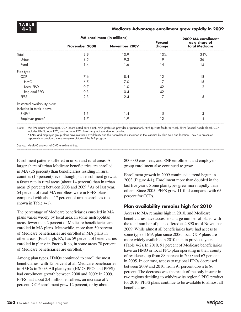#### **4 –1 Medicare Advantage enrollment grew rapidly in 2009**

|               |               |                                    | 2009 MA enrollment<br>as a share of<br>total Medicare |  |
|---------------|---------------|------------------------------------|-------------------------------------------------------|--|
| November 2008 | November 2009 | <b>Percent</b><br>change           |                                                       |  |
| 9.9           | 10.9          | 10%                                | 24%                                                   |  |
| 8.5           | 9.3           | 9                                  | 26                                                    |  |
| 1.4           | 1.6           | 14                                 | 15                                                    |  |
|               |               |                                    |                                                       |  |
| 7.6           | 8.4           | 12                                 | 18                                                    |  |
| 6.5           | 7.0           |                                    | 15                                                    |  |
| 0.7           | 1.0           | 42                                 | 2                                                     |  |
| 0.3           | 0.4           | 42                                 |                                                       |  |
| 2.3           | 2.4           | 7                                  | 5                                                     |  |
|               |               |                                    |                                                       |  |
|               |               |                                    |                                                       |  |
| 1.3           | 1.4           | 5                                  | 3                                                     |  |
| 1.7           | 1.9           | 12                                 | 4                                                     |  |
|               |               | <b>MA</b> enrollment (in millions) |                                                       |  |

Note: MA (Medicare Advantage), CCP (coordinated care plan), PPO (preferred provider organization), PFFS (private fee-for-service), SNPs (special needs plans). CCP includes HMO, local PPO, and regional PPO. Totals may not sum due to rounding.

\* SNPs and employer group plans have restricted availability and their enrollment is included in the statistics by plan type and location. They are presented separately to provide a more complete picture of the MA program.

Source: MedPAC analysis of CMS enrollment files.

Enrollment patterns differed in urban and rural areas. A larger share of urban Medicare beneficiaries are enrolled in MA (26 percent) than beneficiaries residing in rural counties (15 percent), even though plan enrollment grew at a faster rate in rural areas (about 14 percent) than in urban areas (9 percent) between 2008 and  $2009$ .<sup>1</sup> As of last year, 54 percent of rural MA enrollees were in PFFS plans, compared with about 17 percent of urban enrollees (not shown in Table 4-1).

The percentage of Medicare beneficiaries enrolled in MA plans varies widely by local area. In some metropolitan areas, fewer than 2 percent of Medicare beneficiaries are enrolled in MA plans. Meanwhile, more than 50 percent of Medicare beneficiaries are enrolled in MA plans in other areas. (Pittsburgh, PA, has 59 percent of beneficiaries enrolled in plans; in Puerto Rico, in some areas 70 percent of Medicare beneficiaries are enrolled.)

Among plan types, HMOs continued to enroll the most beneficiaries, with 15 percent of all Medicare beneficiaries in HMOs in 2009. All plan types (HMO, PPO, and PFFS) had enrollment growth between 2008 and 2009: In 2009, PFFS had about 2.4 million enrollees, an increase of 7 percent; CCP enrollment grew 12 percent, or by about

800,000 enrollees; and SNP enrollment and employergroup enrollment also continued to grow.

Enrollment growth in 2009 continued a trend begun in 2003 (Figure 4-1). Enrollment more than doubled in the last five years. Some plan types grew more rapidly than others. Since 2005, PFFS grew 11-fold compared with 65 percent for CCPs.

#### **Plan availability remains high for 2010**

Access to MA remains high in 2010, and Medicare beneficiaries have access to a large number of plans, with the total number of plans offered at 4,890 as of November 2009. While almost all beneficiaries have had access to some type of MA plan since 2006, local CCP plans are more widely available in 2010 than in previous years (Table 4-2). In 2010, 91 percent of Medicare beneficiaries have an HMO or local PPO plan operating in their county of residence, up from 88 percent in 2009 and 67 percent in 2005. In contrast, access to regional PPOs decreased between 2009 and 2010, from 91 percent down to 86 percent. The decrease was the result of the only insurer in two regions deciding to withdraw its regional PPO product for 2010. PFFS plans continue to be available to almost all beneficiaries.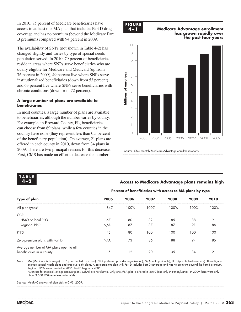In 2010, 85 percent of Medicare beneficiaries have access to at least one MA plan that includes Part D drug coverage and has no premium (beyond the Medicare Part B premium) compared with 94 percent in 2009.

The availability of SNPs (not shown in Table 4-2) has changed slightly and varies by type of special needs population served. In 2010, 79 percent of beneficiaries reside in areas where SNPs serve beneficiaries who are dually eligible for Medicare and Medicaid (up from 76 percent in 2009), 49 percent live where SNPs serve institutionalized beneficiaries (down from 53 percent), and 63 percent live where SNPs serve beneficiaries with chronic conditions (down from 72 percent).

#### **A large number of plans are available to beneficiaries**

In most counties, a large number of plans are available to beneficiaries, although the number varies by county. For example, in Broward County, FL, beneficiaries can choose from 69 plans, while a few counties in the country have none (they represent less than 0.5 percent of the beneficiary population). On average, 21 plans are offered in each county in 2010, down from 34 plans in 2009. There are two principal reasons for this decrease. First, CMS has made an effort to decrease the number

#### **F I G U R E FIGURE 4-1**

#### **4 –1 Medicare Advantage enrollment Medicare Advantage enrollment has grown rapidly over continues to grow rapidly the past four years**





#### **Notes about this graph: 4 –2 Access to Medicare Advantage plans remains high**

|                                                                     |           | Percent of beneficiaries with access to MA plans by type |          |          |          |          |
|---------------------------------------------------------------------|-----------|----------------------------------------------------------|----------|----------|----------|----------|
| Type of plan                                                        | 2005      | 2006                                                     | 2007     | 2008     | 2009     | 2010     |
| All plan types*                                                     | 84%       | 100%                                                     | 100%     | 100%     | 100%     | 100%     |
| <b>CCP</b>                                                          |           |                                                          |          |          |          |          |
| HMO or local PPO<br>Regional PPO                                    | 67<br>N/A | 80<br>87                                                 | 82<br>87 | 85<br>87 | 88<br>91 | 91<br>86 |
| <b>PFFS</b>                                                         | 45        | 80                                                       | 100      | 100      | 100      | 100      |
| Zero-premium plans with Part D                                      | N/A       | 73                                                       | 86       | 88       | 94       | 85       |
| Average number of MA plans open to all<br>beneficiaries in a county | C.        | 12                                                       | 20       | 35       | 34       | 21       |

Note: MA (Medicare Advantage), CCP (coordinated care plan), PPO (preferred provider organization), N/A (not applicable), PFFS (private fee-for-service). These figures exclude special needs plans and employer-only plans. A zero-premium plan with Part D includes Part D coverage and has no premium beyond the Part B premium. Regional PPOs were created in 2006. Part D began in 2006.

\*Statistics for medical savings account plans (MSAs) are not shown. Only one MSA plan is offered in 2010 (and only in Pennsylvania). In 2009 there were only about 3,500 MSA enrollees nationwide.

Source: MedPAC analysis of plan bids to CMS, 2009.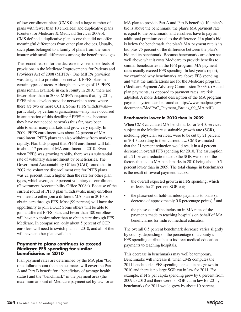of low-enrollment plans (CMS found a large number of plans with fewer than 10 enrollees) and duplicative plans (Centers for Medicare & Medicaid Services 2009b). CMS defined a duplicative plan as one that did not offer meaningful differences from other plan choices. Usually, such plans belonged to a family of plans from the same insurer with small differences among the benefit packages.

The second reason for the decrease involves the effects of provisions in the Medicare Improvements for Patients and Providers Act of 2008 (MIPPA). One MIPPA provision was designed to prohibit non-network PFFS plans in certain types of areas. Although an average of 13 PFFS plans remain available in each county in 2010, there are fewer plans than in 2009. MIPPA requires that, by 2011, PFFS plans develop provider networks in areas where there are two or more CCPs. Some PFFS withdrawals particularly by certain organizations—may have occurred in anticipation of this deadline. $<sup>2</sup>$  PFFS plans, because</sup> they have not needed networks thus far, have been able to enter many markets and grow very rapidly. In 2009, PFFS enrollment was about 22 percent of MA enrollment. PFFS plans can also withdraw from markets rapidly. Plan bids project that PFFS enrollment will fall to about 17 percent of MA enrollment in 2010. Even when PFFS was growing rapidly, there was a substantial rate of voluntary disenrollment by beneficiaries. The Government Accountability Office (GAO) found that in 2007 the voluntary disenrollment rate for PFFS plans was 21 percent, much higher than the rate for other plan types, which averaged 9 percent voluntary disenrollment (Government Accountability Office 2008a). Because of the current round of PFFS plan withdrawals, many enrollees will need to either join a different MA plan in 2010 or obtain care through FFS. Most (99 percent) will have the opportunity to join a CCP. Some others will be able to join a different PFFS plan, and fewer than 400 enrollees will have no choice other than to obtain care through FFS Medicare. In comparison, only about 5 percent of CCP enrollees will need to switch plans in 2010, and all of them will have another plan available.

#### **Payment to plans continues to exceed Medicare FFS spending for similar beneficiaries in 2010**

Plan payment rates are determined by the MA plan "bid" (the dollar amount the plan estimates will cover the Part A and Part B benefit for a beneficiary of average health status) and the "benchmark" in the payment area (the maximum amount of Medicare payment set by law for an

MA plan to provide Part A and Part B benefits). If a plan's bid is above the benchmark, the plan's MA payment rate is equal to the benchmark, and enrollees have to pay an additional premium equal to the difference. If a plan's bid is below the benchmark, the plan's MA payment rate is its bid plus 75 percent of the difference between the plan's bid and its benchmark. Because benchmarks are often set well above what it costs Medicare to provide benefits to similar beneficiaries in the FFS program, MA payment rates usually exceed FFS spending. In last year's report, we examined why benchmarks are above FFS spending and what the ramifications are for the Medicare program (Medicare Payment Advisory Commission 2009a). (Actual plan payments, as opposed to payment rates, are risk adjusted. A more detailed description of the MA program payment system can be found at http://www.medpac.gov/ documents/MedPAC\_Payment\_Basics\_09\_MA.pdf.)

#### **Benchmarks lower in 2010 than in 2009**

When CMS calculated MA benchmarks for 2010, services subject to the Medicare sustainable growth rate (SGR), including physician services, were to be cut by 21 percent in 2010 according to then-current law. CMS estimated that the 21 percent reduction would result in a 4 percent decrease in overall FFS spending for 2010. The assumption of a 21 percent reduction due to the SGR was one of the factors that led to MA benchmarks in 2010 being about 0.5 percent lower than in 2009. The total change in benchmarks is the result of several payment factors:

- the overall expected growth in FFS spending, which reflects the 21 percent SGR cut;
- the phase-out of hold-harmless payments to plans (a decrease of approximately  $0.8$  percentage points);<sup>3</sup> and
- the phase-out of the inclusion in MA rates of the payments made to teaching hospitals on behalf of MA beneficiaries for indirect medical education.

The overall 0.5 percent benchmark decrease varies slightly by county, depending on the percentage of a county's FFS spending attributable to indirect medical education payments to teaching hospitals.

This decrease in benchmarks may well be temporary. Benchmarks will increase if, when CMS computes the 2011 benchmarks, FFS spending per capita has grown in 2010 and there is no large SGR cut in law for 2011. For example, if FFS per capita spending grew by 6 percent from 2009 to 2010 and there were no SGR cut in law for 2011, benchmarks for 2011 would grow by about 10 percent.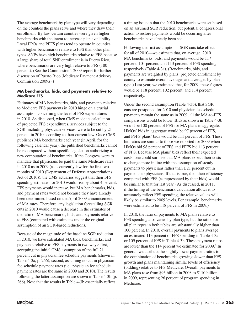The average benchmark by plan type will vary depending on the counties the plans serve and where they draw their enrollment. By law, certain counties were given higher benchmarks with the intent to increase plan availability. Local PPOs and PFFS plans tend to operate in counties with higher benchmarks relative to FFS than other plan types. SNPs have high benchmarks relative to FFS because a large share of total SNP enrollment is in Puerto Rico, where benchmarks are very high relative to FFS (180 percent). (See the Commission's 2009 report for further discussion of Puerto Rico (Medicare Payment Advisory Commission 2009a).)

#### **MA benchmarks, bids, and payments relative to Medicare FFS**

Estimates of MA benchmarks, bids, and payments relative to Medicare FFS payments in 2010 hinge on a crucial assumption concerning the level of FFS expenditures in 2010. As discussed, when CMS made its calculation of projected FFS expenditures, services subject to the SGR, including physician services, were to be cut by 21 percent in 2010 according to then-current law. Once CMS publishes MA benchmarks each year (in April, for the following calendar year), the published benchmarks cannot be recomputed without specific legislation authorizing a new computation of benchmarks. If the Congress were to mandate that physicians be paid the same Medicare rates in 2010 as in 2009 (as is currently law for the first two months of 2010 (Department of Defense Appropriations Act of 2010)), the CMS actuaries suggest that their FFS spending estimates for 2010 would rise by about 4 percent. FFS payments would increase, but MA benchmarks, bids, and payment rates would not because they have already been determined based on the April 2009 announcement of MA rates. Therefore, any legislation forestalling SGR cuts in 2010 would cause a decrease in the estimates of the ratio of MA benchmarks, bids, and payments relative to FFS (compared with estimates under the original assumption of an SGR-based reduction).

Because of the magnitude of the baseline SGR reduction in 2010, we have calculated MA bids, benchmarks, and payments relative to FFS payments in two ways: first, accepting the initial CMS assumption of the full 21 percent cut in physician fee schedule payments (shown in Table 4-3a, p. 266); second, assuming no cut in physician fee schedule payment rates (i.e., physician fee schedule payment rates are the same in 2009 and 2010). The results following the latter assumption are shown in Table 4-3b (p. 266). Note that the results in Table 4-3b essentially reflect

a timing issue in that the 2010 benchmarks were set based on an assumed SGR reduction, but potential congressional action to restore payments would be occurring after benchmarks have already been set.

Following the first assumption—SGR cuts take effect for all of 2010—we estimate that, on average, 2010 MA benchmarks, bids, and payments would be 117 percent, 104 percent, and 113 percent of FFS spending, respectively (Table 4-3a). (Benchmarks, bids, and payments are weighted by plans' projected enrollment by county to estimate overall averages and averages by plan type.) Last year, we estimated that, for 2009, these figures would be 118 percent, 102 percent, and 114 percent, respectively.

Under the second assumption (Table 4-3b), that SGR cuts are postponed for 2010 and physician fee schedule payments remain the same as in 2009, all the MA-to-FFS comparisons would be lower. Bids as shown in Table 4-3b would be 100 percent of FFS for MA plans in aggregate. HMOs' bids in aggregate would be 97 percent of FFS, and PFFS plans' bids would be 111 percent of FFS. These bid ratios are similar to those we reported for 2009 when HMOs bid 98 percent of FFS and PFFS bid 113 percent of FFS. Because MA plans' bids reflect their expected costs, one could surmise that MA plans expect their costs to change more in line with the assumption of steady payments to physicians rather than a 21 percent cut in payments to physicians. If that is true, then their efficiency compared with FFS (as represented by their bids) would be similar to that for last year. (As discussed, in 2011, if the timing of the benchmark calculation allows it to accurately reflect FFS spending, the relative values will likely be similar to 2009 levels. For example, benchmarks were estimated to be 118 percent of FFS in 2009.)

In 2010, the ratio of payments to MA plans relative to FFS spending also varies by plan type, but the ratios for all plan types in both tables are substantially higher than 100 percent. In 2010, overall payments to plans average an estimated 113 percent of FFS spending in Table 4-3a or 109 percent of FFS in Table 4-3b. These payment ratios are lower than the 114 percent we estimated for  $2009$ .<sup>4</sup> In general, we attribute the slightly lower payment ratios to the combination of benchmarks growing slower than FFS growth and plans maintaining similar levels of efficiency (bidding) relative to FFS Medicare. Overall, payments to MA plans rose from \$93 billion in 2008 to \$110 billion in 2009, representing 26 percent of program spending in Medicare.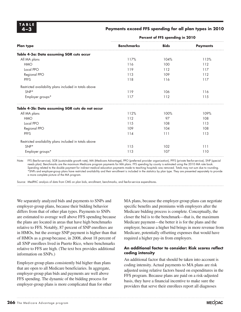#### Payments exceed FFS spending for all plan types in 2010

|                                                        | Percent of FFS spending in 2010 |             |                 |  |  |
|--------------------------------------------------------|---------------------------------|-------------|-----------------|--|--|
| <b>Plan type</b>                                       | <b>Benchmarks</b>               | <b>Bids</b> | <b>Payments</b> |  |  |
| Table 4-3a: Data assuming SGR cuts occur               |                                 |             |                 |  |  |
| All MA plans                                           | 117%                            | 104%        | 113%            |  |  |
| <b>HMO</b>                                             | 116                             | 100         | 112             |  |  |
| Local PPO                                              | 119                             | 112         | 117             |  |  |
| Regional PPO                                           | 113                             | 109         | 112             |  |  |
| <b>PFFS</b>                                            | 118                             | 116         | 117             |  |  |
| Restricted availability plans included in totals above |                                 |             |                 |  |  |
| SNP*                                                   | 119                             | 106         | 116             |  |  |
| Employer groups*                                       | 117                             | 112         | 115             |  |  |
| Table 4-3b: Data assuming SGR cuts do not occur        |                                 |             |                 |  |  |
| All MA plans                                           | 112%                            | 100%        | 109%            |  |  |
| <b>HMO</b>                                             | 112                             | 97          | 108             |  |  |
| Local PPO                                              | 115                             | 108         | 113             |  |  |
| Regional PPO                                           | 109                             | 104         | 108             |  |  |
| <b>PFFS</b>                                            | 114                             | 111         | 113             |  |  |
| Restricted availability plans included in totals above |                                 |             |                 |  |  |
| SNP*                                                   | 115                             | 102         | 111             |  |  |
| Employer groups*                                       | 113                             | 107         | 110             |  |  |

Note: FFS (fee-for-service), SGR (sustainable growth rate), MA (Medicare Advantage), PPO (preferred provider organization), PFFS (private fee-for-service), SNP (special needs plan). Benchmarks are the maximum Medicare program payments for MA plans. FFS spending by county is estimated using the 2010 MA rate book. Spending related to the double payment for indirect medical education payments made to teaching hospitals was removed. Totals may not sum due to rounding. \*SNPs and employer-group plans have restricted availability and their enrollment is included in the statistics by plan type. They are presented separately to provide a more complete picture of the MA program.

Source: MedPAC analysis of data from CMS on plan bids, enrollment, benchmarks, and fee-for-service expenditures.

We separately analyzed bids and payments to SNPs and employer-group plans, because their bidding behavior differs from that of other plan types. Payments to SNPs are estimated to average well above FFS spending because the plans are located in areas that have high benchmarks relative to FFS. Notably, 87 percent of SNP enrollees are in HMOs, but the average SNP payment is higher than that of HMOs as a group because, in 2008, about 18 percent of all SNP enrollees lived in Puerto Rico, where benchmarks relative to FFS are high. (The text box provides additional information on SNPs.)

Employer-group plans consistently bid higher than plans that are open to all Medicare beneficiaries. In aggregate, employer-group plan bids and payments are well above FFS spending. The dynamic of the bidding process for employer-group plans is more complicated than for other MA plans, because the employer-group plans can negotiate specific benefits and premiums with employers after the Medicare bidding process is complete. Conceptually, the closer the bid is to the benchmark—that is, the maximum Medicare payment—the better it is for the plans and the employer, because a higher bid brings in more revenue from Medicare, potentially offsetting expenses that would have required a higher pay-in from employers.

#### **An additional factor to consider: Risk scores reflect coding intensity**

An additional factor that should be taken into account is coding intensity. Actual payments to MA plans are risk adjusted using relative factors based on expenditures in the FFS program. Because plans are paid on a risk-adjusted basis, they have a financial incentive to make sure the providers that serve their enrollees report all diagnoses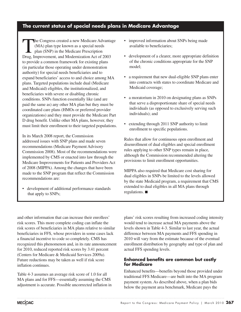#### **The current status of special needs plans in Medicare Advantage**

The Congress created a new Medicare Advantage (MA) plan type known as a special needs plan (SNP) in the Medicare Prescription Drug, Improvement, and Modernization Act of 2003 to provide a common framework for existing plans (in particular those operating under demonstration authority) for special needs beneficiaries and to expand beneficiaries' access to and choice among MA plans. Targeted populations include dual (Medicare and Medicaid) eligibles, the institutionalized, and beneficiaries with severe or disabling chronic conditions. SNPs function essentially like (and are paid the same as) any other MA plan but they must be coordinated care plans (HMOs or preferred provider organizations) and they must provide the Medicare Part D drug benefit. Unlike other MA plans, however, they must limit their enrollment to their targeted populations.

In its March 2008 report, the Commission addressed issues with SNP plans and made seven recommendations (Medicare Payment Advisory Commission 2008). Most of the recommendations were implemented by CMS or enacted into law through the Medicare Improvements for Patients and Providers Act of 2008 (MIPPA). Among the changes that have been made to the SNP program that reflect the Commission recommendations are:

• development of additional performance standards that apply to SNPs;

- improved information about SNPs being made available to beneficiaries;
- development of a clearer, more appropriate definition of the chronic conditions appropriate for the SNP model;
- a requirement that new dual-eligible SNP plans enter into contracts with states to coordinate Medicare and Medicaid coverage;
- a moratorium in 2010 on designating plans as SNPs that serve a disproportionate share of special needs individuals (as opposed to exclusively serving such individuals); and
- extending through 2011 SNP authority to limit enrollment to specific populations.

Rules that allow for continuous open enrollment and disenrollment of dual eligibles and special enrollment rules applying to other SNP types remain in place, although the Commission recommended altering the provisions to limit enrollment opportunities.

MIPPA also required that Medicare cost sharing for dual eligibles in SNPs be limited to the levels allowed by the state Medicaid program, a requirement that CMS extended to dual eligibles in all MA plans through regulations. ■

and other information that can increase their enrollees' risk scores. This more complete coding can inflate the risk scores of beneficiaries in MA plans relative to similar beneficiaries in FFS, whose providers in some cases lack a financial incentive to code so completely. CMS has recognized this phenomenon and, in its rate announcement for 2010, reduced reported risk scores by 3.41 percent (Centers for Medicare & Medicaid Services 2009a). Future reductions may be taken as well if risk score inflation continues.

Table 4-3 assumes an average risk score of 1.0 for all MA plans and for FFS—essentially assuming the CMS adjustment is accurate. Possible uncorrected inflation in plans' risk scores resulting from increased coding intensity would tend to increase actual MA payments above the levels shown in Table 4-3. Similar to last year, the actual difference between MA payments and FFS spending in 2010 will vary from the estimate because of the eventual enrollment distribution by geography and type of plan and actual FFS spending levels.

#### **Enhanced benefits are common but costly for Medicare**

Enhanced benefits—benefits beyond those provided under traditional FFS Medicare—are built into the MA program payment system. As described above, when a plan bids below the payment area benchmark, Medicare pays the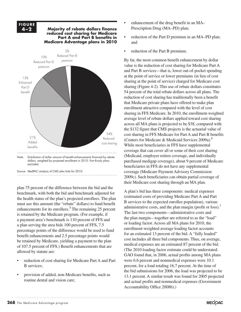#### **F I G U R E 4 –2 Majority of rebate dollars finance reduced cost sharing for Medicare**  Part **A** and Part **B** benefits in **Medicare Advantage plans in 2010** Note: Distribution of dollar amount of benefit enhancements financed by rebate **FIGURE** 54% Reduced cost sharing 21% Added benefits 13% Enhanced Part D benefit 10% Reduced Part D premium 2% Reduced Part B premium

dollars, weighted by projected enrollment in 2010. Part B-only plans excluded.

Source: MedPAC analysis of CMS plan bids for 2010.

plan 75 percent of the difference between the bid and the benchmark, with both the bid and benchmark adjusted for the health status of the plan's projected enrollees. The plan must use this amount (the "rebate" dollars) to fund benefit enhancements for its enrollees.<sup>5</sup> The remaining 25 percent is retained by the Medicare program. (For example, if a payment area's benchmark is 110 percent of FFS and a plan serving the area bids 100 percent of FFS, 7.5 percentage points of the difference would be used to fund benefit enhancements and 2.5 percentage points would be retained by Medicare, yielding a payment to the plan of 107.5 percent of FFS.) Benefit enhancements that are allowed by statute are:

- reduction of cost sharing for Medicare Part A and Part B services;
- provision of added, non-Medicare benefits, such as routine dental and vision care;
- enhancement of the drug benefit in an MA– Prescription Drug (MA–PD) plan;
- reduction of the Part D premium in an MA–PD plan; and
- reduction of the Part B premium.

By far, the most common benefit enhancement by dollar value is the reduction of cost sharing for Medicare Part A and Part B services—that is, lower out-of-pocket spending at the point of service or lower premiums (in lieu of cost sharing at the point of service) charged for Medicare cost sharing (Figure 4-2). This use of rebate dollars constitutes 54 percent of the total rebate dollars across all plans. The reduction of cost sharing has traditionally been a benefit that Medicare private plans have offered to make plan enrollment attractive compared with the level of cost sharing in FFS Medicare. In 2010, the enrollment-weighted average level of rebate dollars applied toward cost sharing across all MA plans is projected to be \$38, compared with the \$132 figure that CMS projects is the actuarial value of cost sharing in FFS Medicare for Part A and Part B benefits (Centers for Medicare & Medicaid Services 2009a).<sup>6</sup> While most beneficiaries in FFS have supplemental coverage that can cover all or some of their cost sharing (Medicaid, employer retiree coverage, and individually purchased medigap coverage), about 9 percent of Medicare beneficiaries in FFS do not have any supplemental coverage (Medicare Payment Advisory Commission 2009c). Such beneficiaries can obtain partial coverage of their Medicare cost sharing through an MA plan.

A plan's bid has three components: medical expenses (estimated costs of providing Medicare Part A and Part B services to the expected enrollee population), various administrative costs, and the plan margin (profit or loss).<sup>7</sup> The last two components—administrative costs and the plan margin—together are referred to as the "load" or loading factor. Across all MA plans for 2010, the enrollment-weighted average loading factor accounts for an estimated 13 percent of the bid. A "fully loaded" cost includes all three bid components. Thus, on average, medical expenses are an estimated 87 percent of the bid. (The 2010 loading factor estimate could be understated. GAO found that, in 2006, actual profits among MA plans were 6.6 percent and nonmedical expenses were 10.1 percent, for a load totaling 16.7 percent. At the time of the bid submissions for 2006, the load was projected to be 13.1 percent. A similar result was found for 2005 projected and actual profits and nonmedical expenses (Government Accountability Office 2008b).)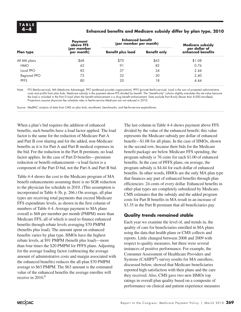#### **4 –4 Enhanced benefits and Medicare subsidy differ by plan type, 2010**

| <b>Plan type</b> | <b>Payment</b><br>above FFS | <b>Enhanced benefit</b><br>(per member per month) |                     |                                                        |
|------------------|-----------------------------|---------------------------------------------------|---------------------|--------------------------------------------------------|
|                  | (per member<br>per month)   | <b>Benefit plus load</b>                          | <b>Benefit only</b> | Medicare subsidy<br>per dollar of<br>enhanced benefits |
| All MA plans     | \$68                        | SZO                                               | \$63                | \$1.08                                                 |
| <b>HMO</b>       | 62                          |                                                   | 82                  | 0.76                                                   |
| Local PPO        | 83                          | 37                                                | 34                  | 2.44                                                   |
| Regional PPO     | 72                          | 32                                                | 30                  | 2.40                                                   |
| <b>PFFS</b>      | 80                          | 20                                                | 18                  | 4.44                                                   |

Note: FFS (fee-for-service), MA (Medicare Advantage), PPO (preferred provider organization), PFFS (private fee-for-service). Load is the sum of projected administrative costs and profits from plan bids. Medicare subsidy is the payment above FFS divided by benefit. The "benefit-only" column slightly overstates the net value because the load is included in the Part D load when the benefit enhancement is a drug benefit enhancement. Data exclude Part B-only (fewer than 8,000 enrollees). Projections assume physician fee schedule rates in fee-for-service Medicare are not reduced in 2010.

Source: MedPAC analysis of data from CMS on plan bids, enrollment, benchmarks, and fee-for-service expenditures.

When a plan's bid requires the addition of enhanced benefits, such benefits have a load factor applied. The load factor is the same for the reduction of Medicare Part A and Part B cost sharing and for the added, non-Medicare benefits as it is for Part A and Part B medical expenses in the bid. For the reduction in the Part B premium, no load factor applies. In the case of Part D benefits—premium reduction or benefit enhancement—a load factor is a component of the Part D bid, not the Part A and Part B bid.

Table 4-4 shows the cost to the Medicare program of MA benefit enhancements assuming there is no SGR reduction to the physician fee schedule in 2010. (This assumption is incorporated in Table 4-3b, p. 266.) On average, all plan types are receiving total payments that exceed Medicare FFS expenditure levels, as shown in the first column of numbers of Table 4-4. Average payment to MA plans overall is \$68 per member per month (PMPM) more than Medicare FFS, all of which is used to finance enhanced benefits through rebate levels averaging \$70 PMPM (benefits plus load). The amount spent on enhanced benefits varies by plan type. HMOs have the highest rebate levels, at \$91 PMPM (benefit plus load)—more than four times the \$20 PMPM for PFFS plans. Adjusting for the average loading factor (subtracting the average amount of administrative costs and margin associated with the enhanced benefits) reduces the all-plan \$70 PMPM average to \$63 PMPM. The \$63 amount is the estimated value of the enhanced benefits the average enrollee will receive in  $2010<sup>8</sup>$ 

The last column in Table 4-4 shows payment above FFS divided by the value of the enhanced benefit; this value represents the Medicare subsidy per dollar of enhanced benefit—\$1.08 for all plans. In the case of HMOs, shown in the second row, because their bids for the Medicare benefit package are below Medicare FFS spending, the program subsidy is 76 cents for each \$1.00 of enhanced benefits. In the case of PFFS plans, on average, the program subsidy is \$4.44 for each dollar of enhanced benefits. In other words, HMOs are the only MA plan type that finances any part of enhanced benefits through plan efficiencies: 24 cents of every dollar. Enhanced benefits in other plan types are completely subsidized by Medicare. CMS estimates that the subsidy and the added program costs for Part B benefits in MA result in an increase of \$3.35 in the Part B premium that all beneficiaries pay.

#### **Quality trends remained stable**

Each year we examine the level of, and trends in, the quality of care for beneficiaries enrolled in MA plans using the data that health plans or CMS collects and reports. Little changed between 2008 and 2009 with respect to quality measures, but there were several instances of positive performance. For example, the Consumer Assessment of Healthcare Providers and Systems (CAHPS<sup>®</sup>) survey results for MA enrollees, discussed below, showed that Medicare beneficiaries reported high satisfaction with their plans and the care they received. Also, CMS gave two new HMOs top ratings in overall plan quality based on a composite of performance on clinical and patient experience measures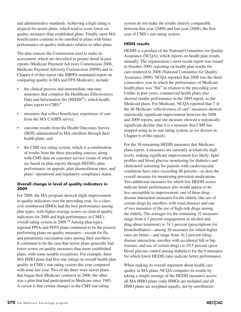and administrative standards. Achieving a high rating is atypical for newer plans, which tend to score lower on quality measures than established plans. Finally, most MA beneficiaries continue to be enrolled in plans with better performance on quality indicators relative to other plans.

The data sources the Commission used to make its assessment, which are described in greater detail in past reports (Medicare Payment Advisory Commission 2008, Medicare Payment Advisory Commission 2009b) and in Chapter 6 of this report (the MIPPA-mandated report on comparing quality in MA and FFS Medicare), include:

- the clinical process and intermediate outcome measures that comprise the Healthcare Effectiveness Data and Information Set (HEDIS®), which health plans report to CMS;<sup>9</sup>
- measures that reflect beneficiary experience of care from the MA CAHPS survey;
- outcome results from the Health Outcomes Survey (HOS) administered to MA enrollees through their health plans; and
- the CMS star rating system, which is a combination of results from the three preceding sources, along with CMS data on customer service (some of which are based on plan reports through HEDIS), plan performance on appeals, plan disenrollment rates, and plans' operational and regulatory compliance status.

#### **Overall change in level of quality indicators in 2009**

For 2009, the MA program showed slight improvement in quality indicators over the preceding year. As a class, cost-reimbursed HMOs had the best performance among plan types, with higher average scores on clinical quality indicators for 2009 and high performance in CMS's overall rating system in  $2009$ .<sup>10</sup> Among plan types, regional PPOs and PFFS plans continued to be the poorest performing plans on quality measures—except for flu and pneumonia vaccination rates among their enrollees. It continued to be the case that newer plans generally had lower scores on quality measures than more established plans, with some notable exceptions. For example, three MA HMO plans had five-star ratings in overall health plan quality in CMS's star rating system this year compared with none last year. Two of the three were newer plans that began their Medicare contracts in 2006; the other was a plan that had participated in Medicare since 1983. A caveat is that certain changes in the CMS star rating

system do not make the results entirely comparable between this year (2009) and last year (2008), the first year of CMS's star rating system.

#### **HEDIS results**

HEDIS is a product of the National Committee for Quality Assurance (NCQA), which reports on health plan results annually. The organization's most recent report was issued in October 2009, reporting on health plan results for care rendered in 2008 (National Committee for Quality Assurance 2009). NCQA reported that 2008 was the third consecutive year in which the performance of Medicare health plans was "flat" in relation to the preceding year. Unlike in past years, commercial health plans also showed similar performance in the 2009 report, as did Medicaid plans. For Medicare, NCQA reported that 7 of the 46 Medicare "effectiveness of care" measures showed statistically significant improvement between the 2008 and 2009 reports, and one measure showed a statistically significant decline (but it is a measure that CMS has stopped using in its star rating system, as we discuss in Chapter 6 of this report).

For the 38 remaining HEDIS measures that Medicare plans report, 4 measures are currently at relatively high levels, making significant improvement less likely: lipid profiles and blood glucose monitoring for diabetics and cholesterol screening for patients with cardiovascular conditions have rates exceeding 86 percent—as does the overall measure for monitoring persistent medications. Two additional measures for which low HEDIS scores indicate better performance also would appear to be less susceptible to improvement: one of three drug– disease interaction measures for the elderly (the use of certain drugs by enrollees with renal disease) and one of two measures of the use of high-risk drugs among the elderly. The averages for the remaining 32 measures range from 4.3 percent (engagement in alcohol and drug abuse treatment) to 74.1 percent (prescriptions for bronchodilator)—among 26 measures for which higher rates are better—and range from 16.2 percent (drug– disease interaction, enrollee with accidental fall or hip fracture, and use of certain drugs) to 29.5 percent (poor blood glucose control among diabetics) for the 6 measures for which lower HEDIS rates indicate better performance.

When making its overall statement about health care quality in MA plans, NCQA computes its results by taking a simple average of the HEDIS measures across all MA HMO plans (only HMOs are included and all HMO plans are weighted equally, not by enrollment).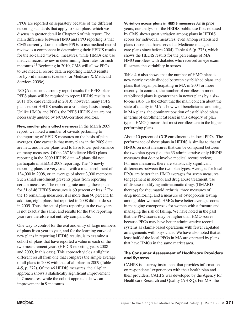PPOs are reported on separately because of the different reporting standards that apply to such plans, which we discuss in greater detail in Chapter 6 of this report. The main difference between HMO and PPO reporting is that CMS currently does not allow PPOs to use medical record review as a component in determining their HEDIS results for the so-called "hybrid" measures, while HMOs can use medical record review in determining their rates for such measures.11 Beginning in 2010, CMS will allow PPOs to use medical record data in reporting HEDIS results for hybrid measures (Centers for Medicare & Medicaid Services 2009c).

NCQA does not currently report results for PFFS plans. PFFS plans will be required to report HEDIS results in 2011 (for care rendered in 2010); however, many PFFS plans report HEDIS results on a voluntary basis already. Unlike HMOs and PPOs, the PFFS HEDIS data are not necessarily audited by NCQA-certified auditors.

**New, smaller plans affect averages** In the March 2009 report, we noted a number of caveats pertaining to the reporting of HEDIS measures on the basis of plan averages. One caveat is that many plans in the 2009 data are new, and newer plans tend to have lower performance on many measures. Of the 267 Medicare HMO plans reporting in the 2009 HEDIS data, 45 plans did not participate in HEDIS 2008 reporting. The 45 newly reporting plans are very small, with a total enrollment of 134,000 in 2008, or an average of about 3,000 members. Such small enrollment prevents plans from reporting certain measures. The reporting rate among these plans for 31 of 46 HEDIS measures is 60 percent or less.12 For the 15 remaining measures, it is more than 90 percent. In addition, eight plans that reported in 2008 did not do so in 2009. Thus, the set of plans reporting in the two years is not exactly the same, and results for the two reporting years are therefore not entirely comparable.

One way to control for the exit and entry of large numbers of plans from year to year, and for the learning curve of new plans in reporting HEDIS results, is to examine a cohort of plans that have reported a value in each of the two measurement years (HEDIS reporting years 2008 and 2009, in this case). This approach yields a slightly different result from one that compares the simple average of all plans in 2008 with that of all plans in 2009 (Table 4-5, p. 272). Of the 46 HEDIS measures, the all-plan approach shows a statistically significant improvement in 7 measures, while the cohort approach shows an improvement in 9 measures.

**Variation across plans in HEDIS measures** As in prior years, our analysis of the HEDIS public use files released by CMS shows great variation among plans in HEDIS scores for individual measures, even among established plans (those that have served as Medicare managed care plans since before 2004). Table 4-6 (p. 273), which shows the HEDIS results for the percentage of MA HMO enrollees with diabetes who received an eye exam, illustrates the variability in scores.

Table 4-6 also shows that the number of HMO plans is now nearly evenly divided between established plans and plans that began participating in MA in 2004 or more recently. In contrast, the number of enrollees in more established plans is greater than in newer plans by a sixto-one ratio. To the extent that the main concern about the state of quality in MA is how well beneficiaries are faring in MA plans, the dominant position of established plans in terms of enrollment (at least in this category of plan type—HMOs) means that most enrollees are in the higher performing plans.

About 10 percent of CCP enrollment is in local PPOs. The performance of these plans in HEDIS is similar to that of HMOs on most measures that can be compared between the two plan types (i.e., the 33 administrative-only HEDIS measures that do not involve medical record review). For nine measures, there are statistically significant differences between the two plan types. Averages for local PPOs are better than HMO averages for seven measures (engagement in alcohol and drug abuse treatment, use of disease-modifying antirheumatic drugs (DMARD therapy) for rheumatoid arthritis, three measures of drug monitoring, and a measure of osteoporosis testing among older women). HMOs have better average scores in managing osteoporosis for women with a fracture and managing the risk of falling. We have noted in the past that the PPO scores may be higher than HMO scores because PPOs may have better administrative record systems as claims-based operations with fewer capitated arrangements with physicians. We have also noted that at least half of the local PPOs in MA are operated by plans that have HMOs in the same market area.

#### **The Consumer Assessment of Healthcare Providers and Systems**

CAHPS is a survey instrument that provides information on respondents' experiences with their health plan and their providers. CAHPS was developed by the Agency for Healthcare Research and Quality (AHRQ). For MA, the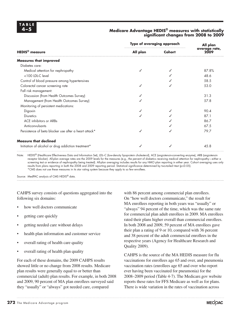#### **4 –5 Medicare Advantage HEDIS® measures with statistically significant changes from 2008 to 2009**

|                                                       | Type of averaging approach | All plan |                       |
|-------------------------------------------------------|----------------------------|----------|-----------------------|
| <b>HEDIS<sup>®</sup></b> measure                      | All plan                   | Cohort   | average rate,<br>2009 |
| <b>Measures that improved</b>                         |                            |          |                       |
| Diabetes care:                                        |                            |          |                       |
| Medical attention for nephropathy                     |                            |          | 87.8%                 |
| <100 LDL-C level                                      |                            |          | 48.6                  |
| Control of blood pressure among hypertensives         |                            |          | 58.5                  |
| Colorectal cancer screening rate                      |                            |          | 53.0                  |
| Fall risk management:                                 |                            |          |                       |
| Discussion (from Health Outcomes Survey)              |                            |          | 31.3                  |
| Management (from Health Outcomes Survey)              |                            |          | 57.8                  |
| Monitoring of persistent medications:                 |                            |          |                       |
| Digoxin                                               |                            |          | 90.4                  |
| <b>Diuretics</b>                                      |                            |          | 87.1                  |
| ACE inhibitors or ARBs                                |                            |          | 86.7                  |
| Anticonvulsants                                       |                            |          | 67.5                  |
| Persistence of beta blocker use after a heart attack* | ✓                          |          | 79.7                  |
| <b>Measure that declined</b>                          |                            |          |                       |
| Initiation of alcohol or drug addiction treatment*    |                            |          | 45.8                  |

Note: HEDIS® (Healthcare Effectiveness Data and Information Set), LDL–C (low-density lipoprotein cholesterol), ACE (angiotensin-converting enzyme), ARB (angiotensin receptor blocker). All-plan average rates are the 2009 levels for the measures (e.g., the percent of diabetics receiving medical attention for nephropathy—either a screening test or evidence of nephropathy being treated). All-plan averaging includes results for any HMO plan reporting in either year. Cohort averaging uses only results from plans reporting in both the 2008 and 2009 reporting period. Statistical significance determined by two-tailed t-test (p≤0.05). \*CMS does not use these measures in its star rating system because they apply to so few enrollees.

Source: MedPAC analysis of CMS HEDIS® data.

CAHPS survey consists of questions aggregated into the following six domains:

- how well doctors communicate
- getting care quickly
- getting needed care without delays
- health plan information and customer service
- overall rating of health care quality
- overall rating of health plan quality

For each of these domains, the 2009 CAHPS results showed little or no change from 2008 results. Medicare plan results were generally equal to or better than commercial (adult) plan results. For example, in both 2008 and 2009, 90 percent of MA plan enrollees surveyed said they "usually" or "always" got needed care, compared

with 86 percent among commercial plan enrollees. On "how well doctors communicate," the result for MA enrollees reporting in both years was "usually" or "always" 94 percent of the time, which was the same rate for commercial plan adult enrollees in 2009. MA enrollees rated their plans higher overall than commercial enrollees. In both 2008 and 2009, 59 percent of MA enrollees gave their plan a rating of 9 or 10, compared with 36 percent and 38 percent of the adult commercial enrollees in the respective years (Agency for Healthcare Research and Quality 2009).

CAHPS is the source of the MA HEDIS measure for flu vaccinations for enrollees age 65 and over, and pneumonia vaccination rates (enrollees age 65 and over who report ever having been vaccinated for pneumonia) for the 2008–2009 period (Table 4-7). The Medicare.gov website reports these rates for FFS Medicare as well as for plans. There is wide variation in the rates of vaccination across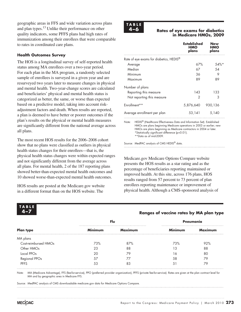geographic areas in FFS and wide variation across plans and plan types.13 Unlike their performance on other quality indicators, some PFFS plans had high rates of immunization among their enrollees that were comparable to rates in coordinated care plans.

#### **Health Outcomes Survey**

The HOS is a longitudinal survey of self-reported health status among MA enrollees over a two-year period. For each plan in the MA program, a randomly selected sample of enrollees is surveyed in a given year and are resurveyed two years later to measure changes in physical and mental health. Two-year-change scores are calculated and beneficiaries' physical and mental health status is categorized as better, the same, or worse than expected based on a predictive model, taking into account riskadjustment factors and death. When results are reported, a plan is deemed to have better or poorer outcomes if the plan's results on the physical or mental health measures are significantly different from the national average across all plans.

The most recent HOS results for the 2006–2008 cohort show that no plans were classified as outliers in physical health status changes for their enrollees—that is, the physical health status changes were within expected ranges and not significantly different from the average across all plans. For mental health, 2 of the 187 reporting plans showed better-than-expected mental health outcomes and 10 showed worse-than-expected mental health outcomes.

HOS results are posted at the Medicare.gov website in a different format than on the HOS website. The



**4 –6 Rates of eye exams for diabetics in Medicare HMOs, 2009**

|                                         | Established<br><b>HMO</b><br>plans | New<br>HMO<br>plans |
|-----------------------------------------|------------------------------------|---------------------|
| Rate of eye exams for diabetics, HEDIS® |                                    |                     |
| Average                                 | 67%                                | $.54\%*$            |
| Median                                  | 67                                 | 54                  |
| Minimum                                 | 36                                 | 9                   |
| Maximum                                 | 89                                 | 89                  |
| Number of plans                         |                                    |                     |
| Reporting this measure                  | 143                                | 133                 |
| Not reporting this measure              | 2                                  | 3                   |
| Fritollment**                           | 5,876,640                          | 930,136             |
| Average enrollment per plan             | 53,141                             | 5,140               |

Note: HEDIS® (Healthcare Effectiveness Data and Information Set). Established HMOs are plans beginning Medicare operations in 2003 or earlier; new HMOs are plans beginning as Medicare contractors in 2004 or later. \*Statistically significant difference (p<0.01). \*\*Data as of mid-2009.

Source: MedPAC analysis of CMS HEDIS® data.

Medicare.gov Medicare Options Compare website presents the HOS results as a star rating and as the percentage of beneficiaries reporting maintained or improved health. At this site, across 176 plans, HOS results ranged from 57 percent to 73 percent of plan enrollees reporting maintenance or improvement of physical health. Although a CMS-sponsored analysis of



#### **4 –7 Ranges of vaccine rates by MA plan type**

|                      |                | Flu            | Pneumonia      |         |  |
|----------------------|----------------|----------------|----------------|---------|--|
| <b>Plan type</b>     | <b>Minimum</b> | <b>Maximum</b> | <b>Minimum</b> | Maximum |  |
| MA plans             |                |                |                |         |  |
| Cost-reimbursed HMOs | 73%            | 87%            | 73%            | 92%     |  |
| Other HMOs           | 23             | 88             | 3              | 88      |  |
| Local PPOs           | 20             | 79             | 6              | 80      |  |
| <b>Regional PPOs</b> | 57             | 77             | 58.            | 79      |  |
| <b>PFFS</b>          | 53             | 83             |                | 79      |  |

Note: MA (Medicare Advantage), FFS (fee-for-service), PPO (preferred provider organization), PFFS (private fee-for-service). Rates are given at the plan contract level for MA and by geographic area in Medicare FFS.

Source: MedPAC analysis of CMS downloadable medicare.gov data for Medicare Options Compare.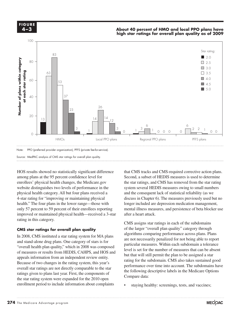

#### Note: PPO (preferred provider organization), PFFS (private fee-for-service).

Source: MedPAC analysis of CMS star ratings for overall plan quality.

HOS results showed no statistically significant difference among plans at the 95 percent confidence level for enrollees' physical health changes, the Medicare.gov website distinguishes two levels of performance in the physical health category. All but four plans received a 4-star rating for "improving or maintaining physical health." The four plans in the lower range—those with only 57 percent to 59 percent of their enrollees reporting improved or maintained physical health—received a 3-star after a heart a in this extensor. rating in this category.

#### CMS star ratings for overall plan quality

In 2008, CMS instituted a star rating system for MA plans and stand-alone drug plans. One category of stars is for "overall health plan quality," which in 2008 was composed particular measures. Wi of measures or results from HEDIS, CAHPS, and HOS and appeals information from an independent review entity. Because of two changes in the rating system, this year's  $\frac{1}{2}$  consistent the changes are not directly comparable to the star performat. ratings given to plans last year. First, the components of  $\Gamma$  components  $\Gamma$ the star rating system were expanded for the 2010 open enrollment period to include information about complaints

that CMS tracks and CMS-required corrective action plans. Second, a subset of HEDIS measures is used to determine the star ratings, and CMS has removed from the star rating system several HEDIS measures owing to small numbers and the consequent lack of statistical reliability (as we discuss in Chapter 6). The measures previously used but no longer included are depression medication management, mental illness measures, and persistence of beta blocker use after a heart attack.

 $\frac{1}{2}$  CMS assigns star ratings in each of the subdomains of the larger "overall plan quality" category through algorithms comparing performance across plans. Plans EWS instituted a star rating system for MA plans<br>delays draw time along One estatemy of stars is for particular measures. Within each subdomain a tolerance level is set for the number of measures that can be absent reformation from HEDIS, CAHPS, and HOS and<br>information from an independent review on the black selection of the black selection of the black selection of rating for the subdomain. CMS also takes sustained good performance over time into account. The subdomains have the following descriptive labels in the Medicare Options Compare data:

staying healthy: screenings, tests, and vaccines;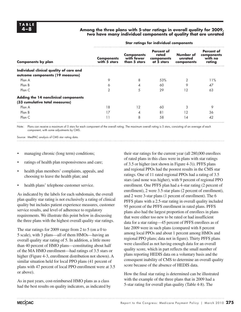#### **4 –8 Among the three plans with 5-star ratings in overall quality for 2009, two have many individual components of quality that are unrated**

|                                                                             | <u>siai isiniga isi maiviasai isinpenemi</u> |                                                 |                                                 |                                    |                                               |  |  |
|-----------------------------------------------------------------------------|----------------------------------------------|-------------------------------------------------|-------------------------------------------------|------------------------------------|-----------------------------------------------|--|--|
| <b>Components by plan</b>                                                   | <b>Components</b><br>with 5 stars            | <b>Components</b><br>with fewer<br>than 5 stars | Percent of<br>rated<br>components<br>at 5 stars | Number of<br>unrated<br>components | Percent of<br>components<br>with no<br>rating |  |  |
| Individual clinical quality of care and<br>outcome components (19 measures) |                                              |                                                 |                                                 |                                    |                                               |  |  |
| Plan A                                                                      | 9                                            | 8                                               | 53%                                             | 2                                  | 11%                                           |  |  |
| Plan B                                                                      | ♦                                            |                                                 | 60                                              | 9                                  | 47                                            |  |  |
| Plan C                                                                      | 2                                            | 5                                               | 29                                              | 12                                 | 63                                            |  |  |
| Adding the 14 nonclinical components<br>(33 cumulative total measures)      |                                              |                                                 |                                                 |                                    |                                               |  |  |
| Plan A                                                                      | 18                                           | 12                                              | 60                                              | 3                                  | 9                                             |  |  |
| Plan B                                                                      | 17                                           | 4                                               | 81                                              | 12                                 | 36                                            |  |  |
| Plan C                                                                      |                                              | 8                                               | 58                                              | 14                                 | 42                                            |  |  |
|                                                                             |                                              |                                                 |                                                 |                                    |                                               |  |  |

**Star ratings for individual components**

Note: Plans can receive a maximum of 5 stars for each component of the overall rating. The maximum overall rating is 5 stars, consisting of an average of each component, with some adjustments by CMS.

Source: MedPAC analysis of CMS star rating data.

- managing chronic (long term) conditions;
- ratings of health plan responsiveness and care;
- health plan members' complaints, appeals, and choosing to leave the health plan; and
- health plans' telephone customer service.

As indicated by the labels for each subdomain, the overall plan quality star rating is not exclusively a rating of clinical quality but includes patient experience measures, customer service results, and level of adherence to regulatory requirements. We illustrate this point below in discussing the three plans with the highest overall quality star ratings.

The star ratings for 2009 range from 2 to 5 (on a 0 to 5 scale), with 3 plans—all of them HMOs—having an overall quality star rating of 5. In addition, a little more than 40 percent of HMO plans—constituting about half of the MA HMO enrollment—had ratings of 3.5 stars or higher (Figure 4-3, enrollment distribution not shown). A similar situation held for local PPO plans (41 percent of plans with 47 percent of local PPO enrollment were at 3.5 or above).

As in past years, cost-reimbursed HMO plans as a class had the best results on quality indicators, as indicated by

their star ratings for the current year (all 280,000 enrollees of rated plans in this class were in plans with star ratings of 3.5 or higher (not shown in Figure 4-3)). PFFS plans and regional PPOs had the poorest results in the CMS star ratings. One of 11 rated regional PPOs had a rating of 3.5 stars (and none was higher), with 9 percent of regional PPO enrollment. One PFFS plan had a 4-star rating (2 percent of enrollment), 2 were 3.5-star plans (2 percent of enrollment), and 2 were 3-star plans (1 percent of enrollment). The 6 PFFS plans with a 2.5-star rating in overall quality included 95 percent of the PFFS enrollment in rated plans. PFFS plans also had the largest proportion of enrollees in plans that were either too new to be rated or had insufficient data for a star rating—45 percent of PFFS enrollees as of late 2009 were in such plans (compared with 8 percent among local PPOs and about 1 percent among HMOs and regional PPO plans; data not in figure). Thirty PFFS plans were classified as not having enough data for an overall quality score, which in part reflects the small number of plans reporting HEDIS data on a voluntary basis and the consequent inability of CMS to determine an overall quality score because of the absence of HEDIS data.

How the final star rating is determined can be illustrated with the example of the three plans that in 2009 had a 5-star rating for overall plan quality (Table 4-8). The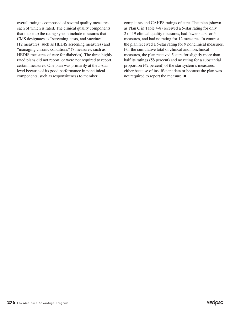overall rating is composed of several quality measures, each of which is rated. The clinical quality components that make up the rating system include measures that CMS designates as "screening, tests, and vaccines" (12 measures, such as HEDIS screening measures) and "managing chronic conditions" (7 measures, such as HEDIS measures of care for diabetics). The three highly rated plans did not report, or were not required to report, certain measures. One plan was primarily at the 5-star level because of its good performance in nonclinical components, such as responsiveness to member

complaints and CAHPS ratings of care. That plan (shown as Plan C in Table 4-8) received a 5-star rating for only 2 of 19 clinical quality measures, had fewer stars for 5 measures, and had no rating for 12 measures. In contrast, the plan received a 5-star rating for 9 nonclinical measures. For the cumulative total of clinical and nonclinical measures, the plan received 5 stars for slightly more than half its ratings (58 percent) and no rating for a substantial proportion (42 percent) of the star system's measures, either because of insufficient data or because the plan was not required to report the measure. ■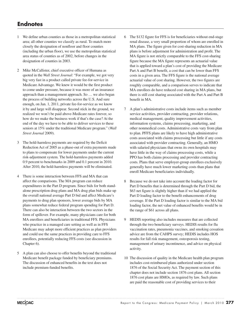#### **Endnotes**

- 1 We define urban counties as those in a metropolitan statistical area; all other counties we classify as rural. To match more closely the designation of nonfloor and floor counties (including the urban floor), we use the metropolitan statistical area status of counties as of 2002, before changes in the designation of counties in 2003.
- 2 Mike McCallister, chief executive officer of Humana as quoted in the *Wall Street Journal*: "For example, we got very big very fast in a product called private fee-for-service in Medicare Advantage. We knew it would be the first product to come under pressure, because it was more of an insurance approach than a management approach. So … we also began the process of building networks across the U.S. And sure enough, on Jan. 1, 2011, private fee-for-service as we know it by and large will disappear. Second stick in the ground, we realized we won't be paid above-Medicare rates forever, so how do we make the business work if that's the case? At the end of the day we have to be able to deliver services to these seniors at 15% under the traditional Medicare program." (*Wall Street Journal* 2009).
- 3 The hold-harmless payments are required by the Deficit Reduction Act of 2005 as a phase-out of extra payments made to plans to compensate for lower payments under the current risk-adjustment system. The hold-harmless payments added 0.9 percent to benchmarks in 2009 and 0.1 percent in 2010. After 2010, the hold-harmless payments will be eliminated.
- 4 There is some interaction between FFS and MA that can affect the comparisons. The MA program can reduce expenditures in the Part D program. Since bids for both standalone prescription drug plans and MA drug plan bids make up the overall national average Part D bid and affect Medicare's payments to drug plan sponsors, lower average bids by MA plans somewhat reduce federal program spending for Part D. There can also be interaction between the two sectors in the form of spillover. For example, many physicians care for both MA enrollees and beneficiaries in traditional FFS. Physicians who practice in a managed care setting as well as in FFS Medicare may adopt more efficient practices as plan providers and could use the same practices in providing care to FFS enrollees, potentially reducing FFS costs (see discussion in Chapter 6).
- 5 A plan can also choose to offer benefits beyond the traditional Medicare benefit package funded by beneficiary premiums. The discussion of enhanced benefits in the text does not include premium-funded benefits.
- 6 The \$132 figure for FFS is for beneficiaries without end-stage renal disease, a very small proportion of whom are enrolled in MA plans. The figure given for cost-sharing reduction in MA plans is before adjustment for administration and profit. The MA figure is not strictly comparable to the FFS cost-sharing figure because the MA figure represents an actuarial value that is applied toward a plan's cost of providing the Medicare Part A and Part B benefit, a cost that can be lower than FFS costs in a given area. The FFS figure is the national average actuarial value of cost sharing. However, the two figures are roughly comparable, and a comparison serves to indicate that MA enrollees do have reduced cost sharing in MA plans, but there is still cost sharing associated with the Part A and Part B benefit in MA.
- 7 A plan's administrative costs include items such as member service activities, provider contracting, provider relations, medical management, quality improvement activities, information systems, claims processing, marketing, and other nonmedical costs. Administrative costs vary from plan to plan. PFFS plans are likely to have high administrative costs associated with claims processing but little if any costs associated with provider contracting. Generally, an HMO with salaried physicians that owns its own hospitals may have little in the way of claims processing costs, while a PPO has both claims processing and provider contracting costs. Plans that serve employer-group enrollees exclusively generally have much lower marketing costs than plans that enroll Medicare beneficiaries individually.
- 8 Because we do not take into account the loading factor for Part D benefits that is determined through the Part D bid, the \$63 net figure is slightly higher than if we had applied the Part D loading factor to the benefit enhancements of drug coverage. If the Part D loading factor is similar to the MA bid loading factor, the net value of enhanced benefits would be in the range of \$61 across all plans.
- 9 HEDIS reporting also includes measures that are collected through the two beneficiary surveys. HEDIS results for flu vaccination rates, pneumonia vaccines, and smoking cessation advice are from the CAHPS survey; HEDIS includes HOS results for fall risk management, osteoporosis testing, management of urinary incontinence, and advice on physical activity.
- 10 The discussion of quality in the Medicare health plan program includes cost-reimbursed plans authorized under section 1876 of the Social Security Act. The payment section of this chapter does not include section 1876 cost plans. All section 1876 cost plans are HMOs, as required by law. Such plans are paid the reasonable cost of providing services to their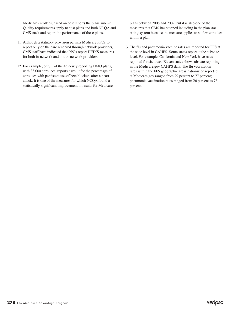Medicare enrollees, based on cost reports the plans submit. Quality requirements apply to cost plans and both NCQA and CMS track and report the performance of these plans.

- 11 Although a statutory provision permits Medicare PPOs to report only on the care rendered through network providers, CMS staff have indicated that PPOs report HEDIS measures for both in-network and out-of-network providers.
- 12 For example, only 1 of the 45 newly reporting HMO plans, with 33,000 enrollees, reports a result for the percentage of enrollees with persistent use of beta blockers after a heart attack. It is one of the measures for which NCQA found a statistically significant improvement in results for Medicare

plans between 2008 and 2009, but it is also one of the measures that CMS has stopped including in the plan star rating system because the measure applies to so few enrollees within a plan.

13 The flu and pneumonia vaccine rates are reported for FFS at the state level in CAHPS. Some states report at the substate level. For example, California and New York have rates reported for six areas. Eleven states show substate reporting in the Medicare.gov CAHPS data. The flu vaccination rates within the FFS geographic areas nationwide reported at Medicare.gov ranged from 29 percent to 77 percent; pneumonia vaccination rates ranged from 26 percent to 76 percent.